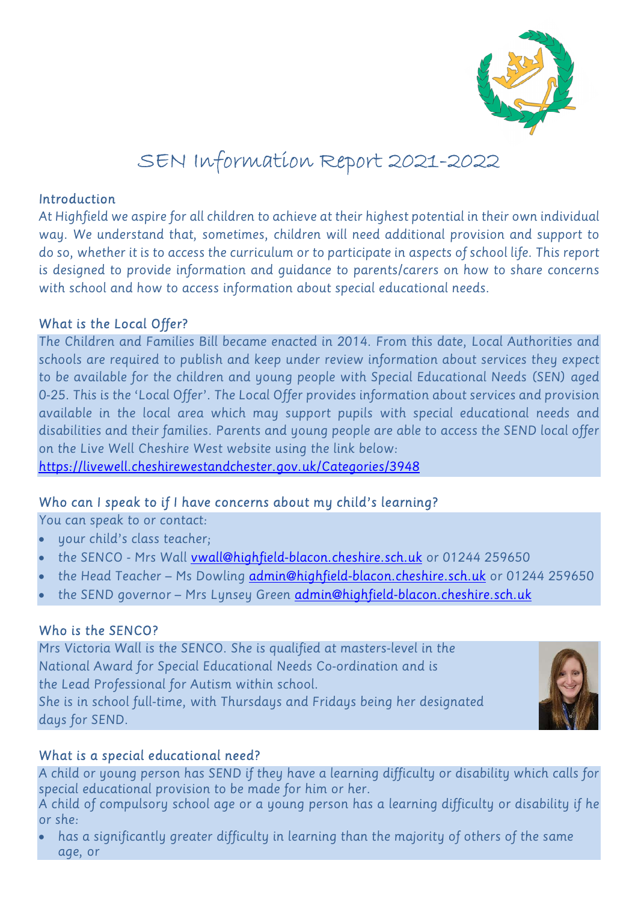

# SEN Information Report 2021-2022

#### Introduction

At Highfield we aspire for all children to achieve at their highest potential in their own individual way. We understand that, sometimes, children will need additional provision and support to do so, whether it is to access the curriculum or to participate in aspects of school life. This report is designed to provide information and guidance to parents/carers on how to share concerns with school and how to access information about special educational needs.

## What is the Local Offer?

The Children and Families Bill became enacted in 2014. From this date, Local Authorities and schools are required to publish and keep under review information about services they expect to be available for the children and young people with Special Educational Needs (SEN) aged 0-25. This is the 'Local Offer'. The Local Offer provides information about services and provision available in the local area which may support pupils with special educational needs and disabilities and their families. Parents and young people are able to access the SEND local offer on the Live Well Cheshire West website using the link below:

https://livewell.cheshirewestandchester.gov.uk/Categories/3948

## Who can I speak to if I have concerns about my child's learning?

You can speak to or contact:

- your child's class teacher;
- the SENCO Mrs Wall vwall@highfield-blacon.cheshire.sch.uk or 01244 259650
- the Head Teacher Ms Dowling admin@highfield-blacon.cheshire.sch.uk or 01244 259650
- the SEND governor Mrs Lynsey Green admin@highfield-blacon.cheshire.sch.uk

## Who is the SENCO?

Mrs Victoria Wall is the SENCO. She is qualified at masters-level in the National Award for Special Educational Needs Co-ordination and is the Lead Professional for Autism within school. She is in school full-time, with Thursdays and Fridays being her designated days for SEND.



## What is a special educational need?

A child or young person has SEND if they have a learning difficulty or disability which calls for special educational provision to be made for him or her.

A child of compulsory school age or a young person has a learning difficulty or disability if he or she:

 has a significantly greater difficulty in learning than the majority of others of the same age, or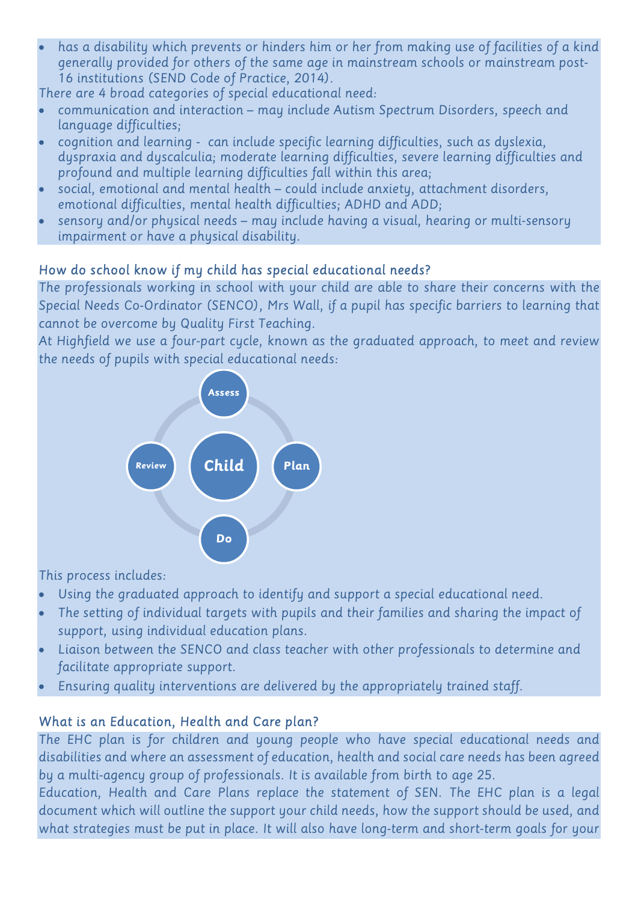has a disability which prevents or hinders him or her from making use of facilities of a kind generally provided for others of the same age in mainstream schools or mainstream post-16 institutions (SEND Code of Practice, 2014).

There are 4 broad categories of special educational need:

- communication and interaction may include Autism Spectrum Disorders, speech and language difficulties;
- cognition and learning can include specific learning difficulties, such as dyslexia, dyspraxia and dyscalculia; moderate learning difficulties, severe learning difficulties and profound and multiple learning difficulties fall within this area;
- social, emotional and mental health could include anxiety, attachment disorders, emotional difficulties, mental health difficulties; ADHD and ADD;
- sensory and/or physical needs may include having a visual, hearing or multi-sensory impairment or have a physical disability.

# How do school know if my child has special educational needs?

The professionals working in school with your child are able to share their concerns with the Special Needs Co-Ordinator (SENCO), Mrs Wall, if a pupil has specific barriers to learning that cannot be overcome by Quality First Teaching.

At Highfield we use a four-part cycle, known as the graduated approach, to meet and review the needs of pupils with special educational needs:



This process includes:

- Using the graduated approach to identify and support a special educational need.
- The setting of individual targets with pupils and their families and sharing the impact of support, using individual education plans.
- Liaison between the SENCO and class teacher with other professionals to determine and facilitate appropriate support.
- Ensuring quality interventions are delivered by the appropriately trained staff.

## What is an Education, Health and Care plan?

The EHC plan is for children and young people who have special educational needs and disabilities and where an assessment of education, health and social care needs has been agreed by a multi-agency group of professionals. It is available from birth to age 25.

Education, Health and Care Plans replace the statement of SEN. The EHC plan is a legal document which will outline the support your child needs, how the support should be used, and what strategies must be put in place. It will also have long-term and short-term goals for your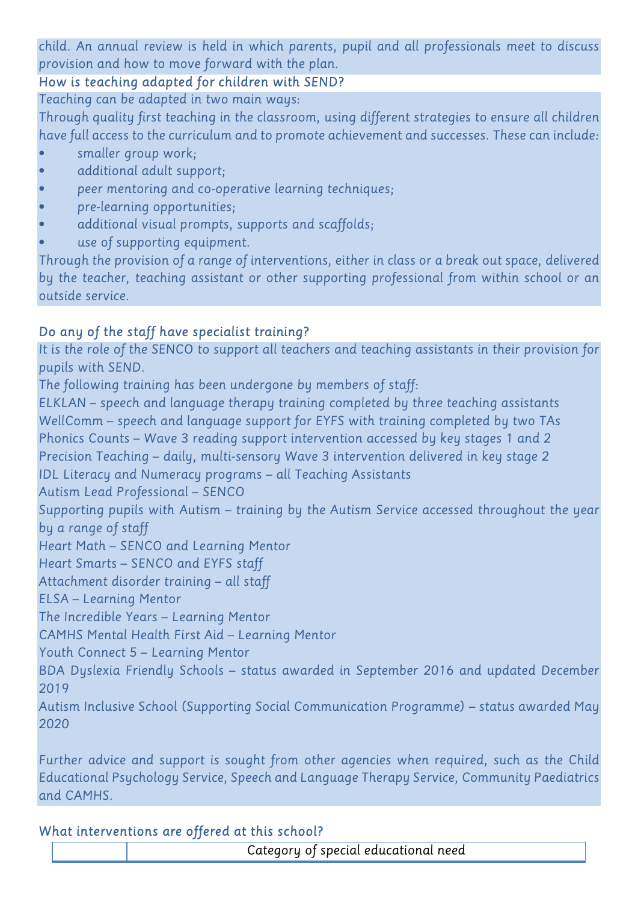child. An annual review is held in which parents, pupil and all professionals meet to discuss provision and how to move forward with the plan.

## How is teaching adapted for children with SEND?

Teaching can be adapted in two main ways:

Through quality first teaching in the classroom, using different strategies to ensure all children have full access to the curriculum and to promote achievement and successes. These can include:

- smaller group work;
- additional adult support;
- peer mentoring and co-operative learning techniques;
- pre-learning opportunities;
- additional visual prompts, supports and scaffolds;
- use of supporting equipment.

Through the provision of a range of interventions, either in class or a break out space, delivered by the teacher, teaching assistant or other supporting professional from within school or an outside service.

# Do any of the staff have specialist training?

It is the role of the SENCO to support all teachers and teaching assistants in their provision for pupils with SEND.

The following training has been undergone by members of staff:

ELKLAN – speech and language therapy training completed by three teaching assistants WellComm – speech and language support for EYFS with training completed by two TAs Phonics Counts – Wave 3 reading support intervention accessed by key stages 1 and 2 Precision Teaching – daily, multi-sensory Wave 3 intervention delivered in key stage 2 IDL Literacy and Numeracy programs – all Teaching Assistants Autism Lead Professional – SENCO Supporting pupils with Autism – training by the Autism Service accessed throughout the year by a range of staff Heart Math – SENCO and Learning Mentor Heart Smarts – SENCO and EYFS staff Attachment disorder training – all staff ELSA – Learning Mentor The Incredible Years – Learning Mentor CAMHS Mental Health First Aid – Learning Mentor Youth Connect 5 – Learning Mentor BDA Dyslexia Friendly Schools – status awarded in September 2016 and updated December 2019 Autism Inclusive School (Supporting Social Communication Programme) – status awarded May 2020

Further advice and support is sought from other agencies when required, such as the Child Educational Psychology Service, Speech and Language Therapy Service, Community Paediatrics and CAMHS.

## What interventions are offered at this school?

Category of special educational need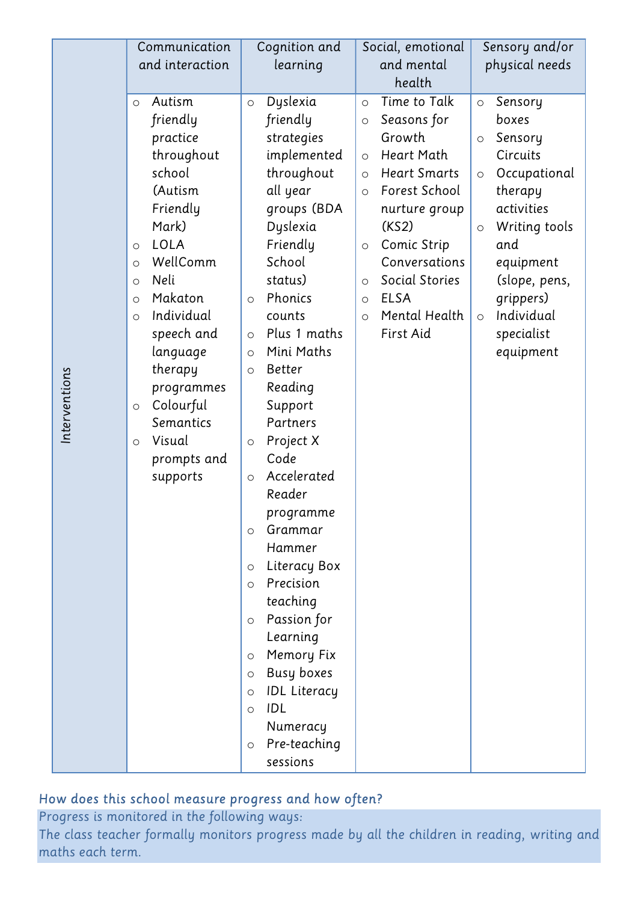|               | Communication                                                                                                                                                                                          | Cognition and                                                                                                                                                                                                                                                                                                                                                                                                                                                                                                                                   | Social, emotional                                                                            | Sensory and/or                                                                 |
|---------------|--------------------------------------------------------------------------------------------------------------------------------------------------------------------------------------------------------|-------------------------------------------------------------------------------------------------------------------------------------------------------------------------------------------------------------------------------------------------------------------------------------------------------------------------------------------------------------------------------------------------------------------------------------------------------------------------------------------------------------------------------------------------|----------------------------------------------------------------------------------------------|--------------------------------------------------------------------------------|
| Interventions | and interaction                                                                                                                                                                                        | learning                                                                                                                                                                                                                                                                                                                                                                                                                                                                                                                                        | and mental                                                                                   | physical needs                                                                 |
|               |                                                                                                                                                                                                        |                                                                                                                                                                                                                                                                                                                                                                                                                                                                                                                                                 | health                                                                                       |                                                                                |
|               | Autism<br>$\circ$<br>friendly<br>practice<br>throughout<br>school<br>(Autism<br>Friendly<br>Mark)<br><b>LOLA</b><br>$\circ$<br>WellComm<br>$\circ$                                                     | Time to Talk<br>Dyslexia<br>Sensory<br>$\circ$<br>$\circ$<br>$\circ$<br>friendly<br>Seasons for<br>boxes<br>$\circ$<br>Growth<br>strategies<br>Sensory<br>$\circ$<br>implemented<br><b>Heart Math</b><br>Circuits<br>$\circ$<br>throughout<br><b>Heart Smarts</b><br>$\circ$<br>$\circ$<br>all year<br>Forest School<br>therapy<br>$\circ$<br>groups (BDA<br>activities<br>nurture group<br>Dyslexia<br>(KS2)<br>$\bigcirc$<br>Friendly<br>Comic Strip<br>and<br>$\circ$<br>School<br>Conversations<br>equipment                                | Occupational<br>Writing tools                                                                |                                                                                |
|               | Neli<br>$\circ$<br>Makaton<br>$\circ$<br>Individual<br>$\circ$<br>speech and<br>language<br>therapy<br>programmes<br>Colourful<br>$\circ$<br>Semantics<br>Visual<br>$\circ$<br>prompts and<br>supports | status)<br>Phonics<br>$\circ$<br>counts<br>Plus 1 maths<br>$\circ$<br>Mini Maths<br>$\circ$<br><b>Better</b><br>$\circ$<br>Reading<br>Support<br>Partners<br>Project X<br>$\circ$<br>Code<br>Accelerated<br>$\circ$<br>Reader<br>programme<br>Grammar<br>$\circ$<br>Hammer<br>Literacy Box<br>$\circ$<br>Precision<br>$\circ$<br>teaching<br>Passion for<br>$\circ$<br>Learning<br>Memory Fix<br>$\circ$<br><b>Busy boxes</b><br>$\circ$<br><b>IDL Literacy</b><br>$\circ$<br>IDL<br>$\circ$<br>Numeracy<br>Pre-teaching<br>$\circ$<br>sessions | Social Stories<br>$\circ$<br><b>ELSA</b><br>$\circ$<br>Mental Health<br>$\circ$<br>First Aid | (slope, pens,<br>grippers)<br>Individual<br>$\circ$<br>specialist<br>equipment |

# How does this school measure progress and how often?

Progress is monitored in the following ways: The class teacher formally monitors progress made by all the children in reading, writing and maths each term.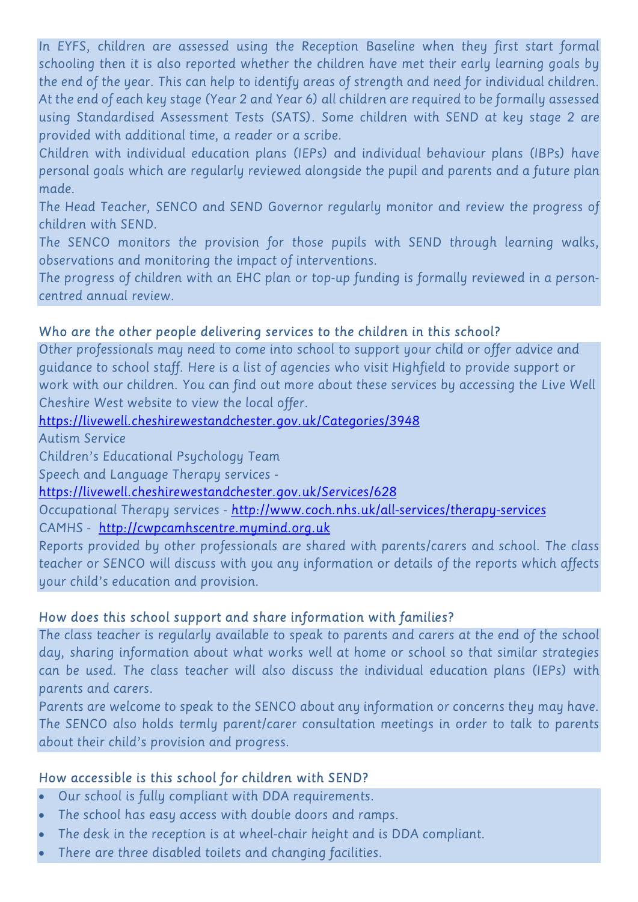In EYFS, children are assessed using the Reception Baseline when they first start formal schooling then it is also reported whether the children have met their early learning goals by the end of the year. This can help to identify areas of strength and need for individual children. At the end of each key stage (Year 2 and Year 6) all children are required to be formally assessed using Standardised Assessment Tests (SATS). Some children with SEND at key stage 2 are provided with additional time, a reader or a scribe.

Children with individual education plans (IEPs) and individual behaviour plans (IBPs) have personal goals which are regularly reviewed alongside the pupil and parents and a future plan made.

The Head Teacher, SENCO and SEND Governor regularly monitor and review the progress of children with SEND.

The SENCO monitors the provision for those pupils with SEND through learning walks, observations and monitoring the impact of interventions.

The progress of children with an EHC plan or top-up funding is formally reviewed in a personcentred annual review.

## Who are the other people delivering services to the children in this school?

Other professionals may need to come into school to support your child or offer advice and guidance to school staff. Here is a list of agencies who visit Highfield to provide support or work with our children. You can find out more about these services by accessing the Live Well Cheshire West website to view the local offer.

https://livewell.cheshirewestandchester.gov.uk/Categories/3948

Autism Service

Children's Educational Psychology Team

Speech and Language Therapy services -

https://livewell.cheshirewestandchester.gov.uk/Services/628

Occupational Therapy services - http://www.coch.nhs.uk/all-services/therapy-services

CAMHS - http://cwpcamhscentre.mymind.org.uk

Reports provided by other professionals are shared with parents/carers and school. The class teacher or SENCO will discuss with you any information or details of the reports which affects your child's education and provision.

## How does this school support and share information with families?

The class teacher is regularly available to speak to parents and carers at the end of the school day, sharing information about what works well at home or school so that similar strategies can be used. The class teacher will also discuss the individual education plans (IEPs) with parents and carers.

Parents are welcome to speak to the SENCO about any information or concerns they may have. The SENCO also holds termly parent/carer consultation meetings in order to talk to parents about their child's provision and progress.

## How accessible is this school for children with SEND?

- Our school is fully compliant with DDA requirements.
- The school has easy access with double doors and ramps.
- The desk in the reception is at wheel-chair height and is DDA compliant.
- There are three disabled toilets and changing facilities.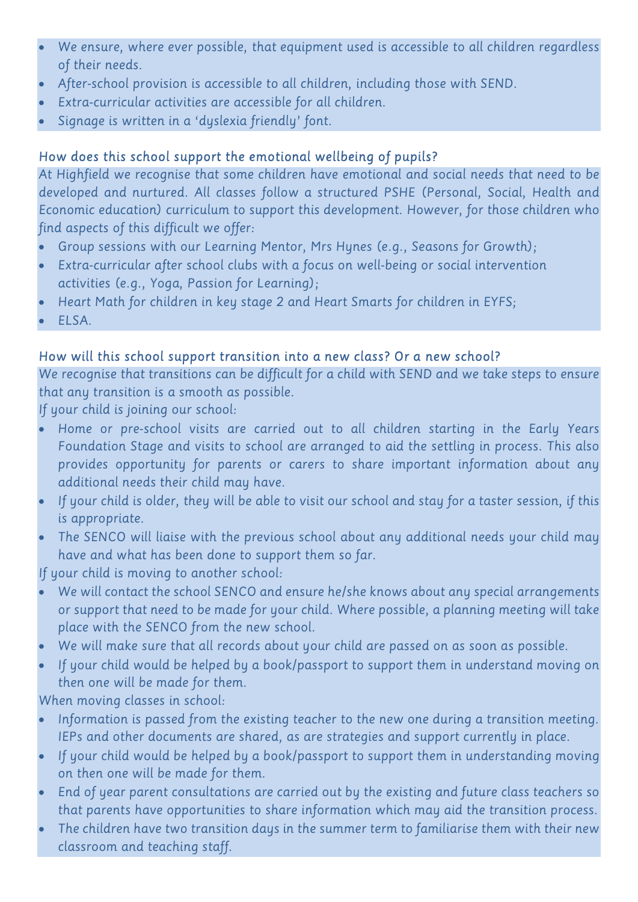- We ensure, where ever possible, that equipment used is accessible to all children regardless of their needs.
- After-school provision is accessible to all children, including those with SEND.
- Extra-curricular activities are accessible for all children.
- Signage is written in a 'dyslexia friendly' font.

# How does this school support the emotional wellbeing of pupils?

At Highfield we recognise that some children have emotional and social needs that need to be developed and nurtured. All classes follow a structured PSHE (Personal, Social, Health and Economic education) curriculum to support this development. However, for those children who find aspects of this difficult we offer:

- Group sessions with our Learning Mentor, Mrs Hynes (e.g., Seasons for Growth);
- Extra-curricular after school clubs with a focus on well-being or social intervention activities (e.g., Yoga, Passion for Learning);
- Heart Math for children in key stage 2 and Heart Smarts for children in EYFS;
- ELSA.

# How will this school support transition into a new class? Or a new school?

We recognise that transitions can be difficult for a child with SEND and we take steps to ensure that any transition is a smooth as possible.

If your child is joining our school:

- Home or pre-school visits are carried out to all children starting in the Early Years Foundation Stage and visits to school are arranged to aid the settling in process. This also provides opportunity for parents or carers to share important information about any additional needs their child may have.
- If your child is older, they will be able to visit our school and stay for a taster session, if this is appropriate.
- The SENCO will liaise with the previous school about any additional needs your child may have and what has been done to support them so far.

If your child is moving to another school:

- We will contact the school SENCO and ensure he/she knows about any special arrangements or support that need to be made for your child. Where possible, a planning meeting will take place with the SENCO from the new school.
- We will make sure that all records about your child are passed on as soon as possible.
- If your child would be helped by a book/passport to support them in understand moving on then one will be made for them.

When moving classes in school:

- Information is passed from the existing teacher to the new one during a transition meeting. IEPs and other documents are shared, as are strategies and support currently in place.
- If your child would be helped by a book/passport to support them in understanding moving on then one will be made for them.
- End of year parent consultations are carried out by the existing and future class teachers so that parents have opportunities to share information which may aid the transition process.
- The children have two transition days in the summer term to familiarise them with their new classroom and teaching staff.